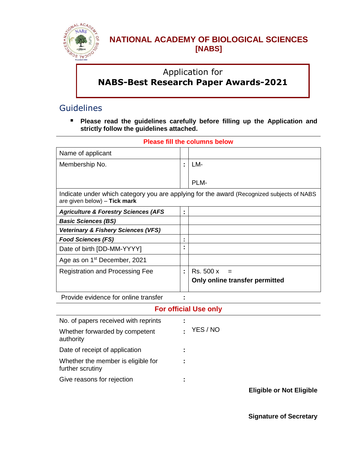

## **NATIONAL ACADEMY OF BIOLOGICAL SCIENCES [NABS]**

# Application for **NABS-Best Research Paper Awards-2021**

### **Guidelines**

 **Please read the guidelines carefully before filling up the Application and strictly follow the guidelines attached.**

| Name of applicant                                                                                                         |        |                                |  |  |
|---------------------------------------------------------------------------------------------------------------------------|--------|--------------------------------|--|--|
| Membership No.                                                                                                            | ÷      | LM-                            |  |  |
|                                                                                                                           |        |                                |  |  |
|                                                                                                                           |        | PLM-                           |  |  |
| Indicate under which category you are applying for the award (Recognized subjects of NABS<br>are given below) - Tick mark |        |                                |  |  |
| <b>Agriculture &amp; Forestry Sciences (AFS</b>                                                                           | ٠<br>٠ |                                |  |  |
| <b>Basic Sciences (BS)</b>                                                                                                |        |                                |  |  |
| <b>Veterinary &amp; Fishery Sciences (VFS)</b>                                                                            |        |                                |  |  |
| <b>Food Sciences (FS)</b>                                                                                                 | ٠      |                                |  |  |
| Date of birth [DD-MM-YYYY]                                                                                                | ٠      |                                |  |  |
| Age as on 1 <sup>st</sup> December, 2021                                                                                  |        |                                |  |  |
| <b>Registration and Processing Fee</b>                                                                                    | ÷      | Rs. 500 x                      |  |  |
|                                                                                                                           |        | Only online transfer permitted |  |  |
| Provide evidence for online transfer                                                                                      |        |                                |  |  |

#### **Please fill the columns below**

#### **For official Use only**

| No. of papers received with reprints                   | ÷.       |  |
|--------------------------------------------------------|----------|--|
| Whether forwarded by competent<br>authority            | YES / NO |  |
| Date of receipt of application                         | ÷.       |  |
| Whether the member is eligible for<br>further scrutiny | ÷        |  |
| Give reasons for rejection                             | ÷.       |  |
|                                                        |          |  |

**Eligible or Not Eligible**

**Signature of Secretary**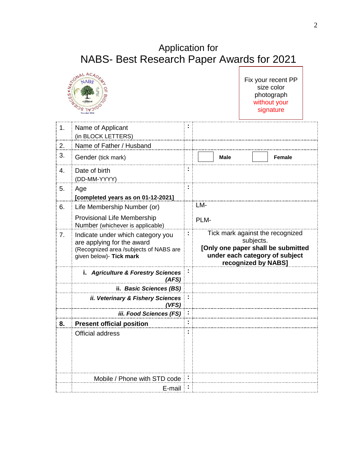# Application for NABS- Best Research Paper Awards for 2021



Fix your recent PP size color photograph without your signature

| 1.               | Name of Applicant<br>(in BLOCK LETTERS)                                                                                              |                                                                                                                                              |  |  |
|------------------|--------------------------------------------------------------------------------------------------------------------------------------|----------------------------------------------------------------------------------------------------------------------------------------------|--|--|
| 2.               | Name of Father / Husband                                                                                                             |                                                                                                                                              |  |  |
| 3.               | Gender (tick mark)                                                                                                                   | <b>Male</b><br>Female                                                                                                                        |  |  |
| $\overline{4}$ . | Date of birth<br>(DD-MM-YYYY)                                                                                                        |                                                                                                                                              |  |  |
| 5.               | Age<br>[completed years as on 01-12-2021]                                                                                            |                                                                                                                                              |  |  |
| 6.               | Life Membership Number (or)                                                                                                          | LM-                                                                                                                                          |  |  |
|                  | <b>Provisional Life Membership</b><br>Number (whichever is applicable)                                                               | PLM-                                                                                                                                         |  |  |
| 7 <sub>1</sub>   | Indicate under which category you<br>are applying for the award<br>(Recognized area /subjects of NABS are<br>given below)- Tick mark | Tick mark against the recognized<br>subjects.<br>[Only one paper shall be submitted<br>under each category of subject<br>recognized by NABS] |  |  |
|                  | i. Agriculture & Forestry Sciences<br>(AFS)                                                                                          |                                                                                                                                              |  |  |
|                  | ii. Basic Sciences (BS)                                                                                                              |                                                                                                                                              |  |  |
|                  | ii. Veterinary & Fishery Sciences<br>(VFS)                                                                                           |                                                                                                                                              |  |  |
|                  | iii. Food Sciences (FS)                                                                                                              |                                                                                                                                              |  |  |
| 8.               | <b>Present official position</b>                                                                                                     |                                                                                                                                              |  |  |
|                  |                                                                                                                                      |                                                                                                                                              |  |  |
|                  | <b>Official address</b>                                                                                                              |                                                                                                                                              |  |  |
|                  | Mobile / Phone with STD code                                                                                                         |                                                                                                                                              |  |  |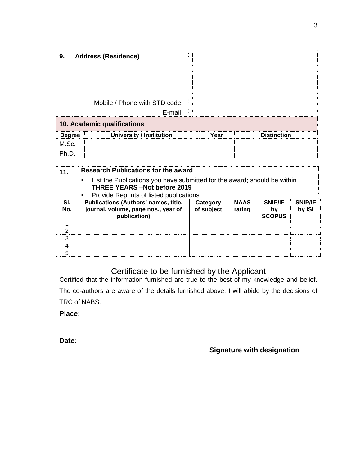| 9.                          | <b>Address (Residence)</b>   |  |      |             |  |
|-----------------------------|------------------------------|--|------|-------------|--|
|                             | Mobile / Phone with STD code |  |      |             |  |
|                             | E-mail                       |  |      |             |  |
| 10. Academic qualifications |                              |  |      |             |  |
| <b>Degree</b>               | University / Institution     |  | Year | Distinction |  |
| M.Sc.                       |                              |  |      |             |  |
|                             |                              |  |      |             |  |

|            | Research Publications for the award                                                                                                                                            |                        |                       |                                       |                          |
|------------|--------------------------------------------------------------------------------------------------------------------------------------------------------------------------------|------------------------|-----------------------|---------------------------------------|--------------------------|
|            | List the Publications you have submitted for the award; should be within<br>$\blacksquare$<br><b>THREE YEARS -Not before 2019</b><br>• Provide Reprints of listed publications |                        |                       |                                       |                          |
| SI.<br>No. | Publications (Authors' names, title,<br>journal, volume, page nos., year of<br>publication)                                                                                    | Category<br>of subject | <b>NAAS</b><br>rating | <b>SNIP/IF</b><br>b۱<br><b>SCOPUS</b> | <b>SNIP/IF</b><br>by ISI |
|            |                                                                                                                                                                                |                        |                       |                                       |                          |
|            |                                                                                                                                                                                |                        |                       |                                       |                          |
|            |                                                                                                                                                                                |                        |                       |                                       |                          |
|            |                                                                                                                                                                                |                        |                       |                                       |                          |
|            |                                                                                                                                                                                |                        |                       |                                       |                          |

#### Certificate to be furnished by the Applicant

Certified that the information furnished are true to the best of my knowledge and belief. The co-authors are aware of the details furnished above. I will abide by the decisions of TRC of NABS.

**Place:** 

**Date:**

**Signature with designation**